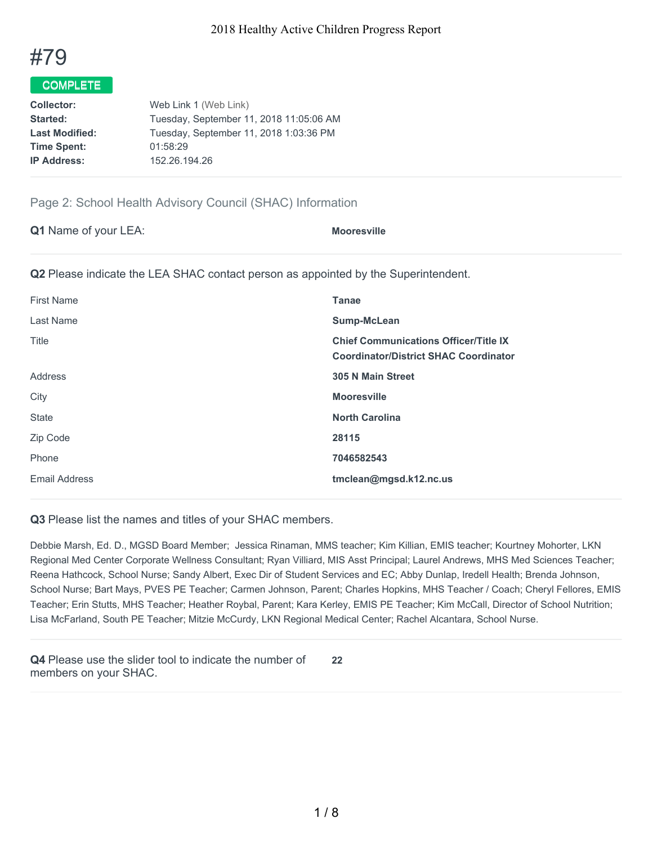

## COMPLETE

| <b>Collector:</b>     | Web Link 1 (Web Link)                   |
|-----------------------|-----------------------------------------|
| Started:              | Tuesday, September 11, 2018 11:05:06 AM |
| <b>Last Modified:</b> | Tuesday, September 11, 2018 1:03:36 PM  |
| <b>Time Spent:</b>    | 01:58:29                                |
| <b>IP Address:</b>    | 152.26.194.26                           |
|                       |                                         |

## Page 2: School Health Advisory Council (SHAC) Information

| Q1 Name of your LEA: | <b>Mooresville</b> |
|----------------------|--------------------|
|                      |                    |

**Q2** Please indicate the LEA SHAC contact person as appointed by the Superintendent.

| <b>First Name</b> | <b>Tanae</b>                                                                                 |
|-------------------|----------------------------------------------------------------------------------------------|
| Last Name         | Sump-McLean                                                                                  |
| Title             | <b>Chief Communications Officer/Title IX</b><br><b>Coordinator/District SHAC Coordinator</b> |
| Address           | <b>305 N Main Street</b>                                                                     |
| City              | <b>Mooresville</b>                                                                           |
| <b>State</b>      | <b>North Carolina</b>                                                                        |
| Zip Code          | 28115                                                                                        |
| Phone             | 7046582543                                                                                   |
| Email Address     | tmclean@mgsd.k12.nc.us                                                                       |

**Q3** Please list the names and titles of your SHAC members.

Debbie Marsh, Ed. D., MGSD Board Member; Jessica Rinaman, MMS teacher; Kim Killian, EMIS teacher; Kourtney Mohorter, LKN Regional Med Center Corporate Wellness Consultant; Ryan Villiard, MIS Asst Principal; Laurel Andrews, MHS Med Sciences Teacher; Reena Hathcock, School Nurse; Sandy Albert, Exec Dir of Student Services and EC; Abby Dunlap, Iredell Health; Brenda Johnson, School Nurse; Bart Mays, PVES PE Teacher; Carmen Johnson, Parent; Charles Hopkins, MHS Teacher / Coach; Cheryl Fellores, EMIS Teacher; Erin Stutts, MHS Teacher; Heather Roybal, Parent; Kara Kerley, EMIS PE Teacher; Kim McCall, Director of School Nutrition; Lisa McFarland, South PE Teacher; Mitzie McCurdy, LKN Regional Medical Center; Rachel Alcantara, School Nurse.

**Q4** Please use the slider tool to indicate the number of members on your SHAC. **22**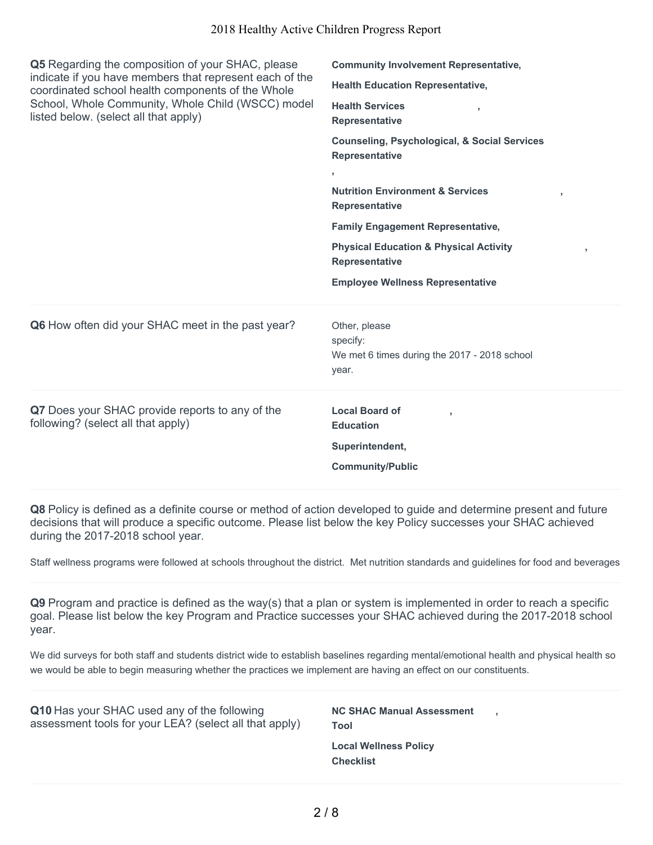| Q5 Regarding the composition of your SHAC, please<br>indicate if you have members that represent each of the<br>coordinated school health components of the Whole<br>School, Whole Community, Whole Child (WSCC) model<br>listed below. (select all that apply) | <b>Community Involvement Representative,</b>                                                                           |  |  |
|-----------------------------------------------------------------------------------------------------------------------------------------------------------------------------------------------------------------------------------------------------------------|------------------------------------------------------------------------------------------------------------------------|--|--|
|                                                                                                                                                                                                                                                                 | <b>Health Education Representative,</b><br><b>Health Services</b><br>$\overline{\phantom{a}}$<br><b>Representative</b> |  |  |
|                                                                                                                                                                                                                                                                 | <b>Counseling, Psychological, &amp; Social Services</b><br><b>Representative</b>                                       |  |  |
|                                                                                                                                                                                                                                                                 | $\mathbf{r}$<br><b>Nutrition Environment &amp; Services</b><br>y<br><b>Representative</b>                              |  |  |
|                                                                                                                                                                                                                                                                 | <b>Family Engagement Representative,</b>                                                                               |  |  |
|                                                                                                                                                                                                                                                                 | <b>Physical Education &amp; Physical Activity</b><br>J.<br><b>Representative</b>                                       |  |  |
|                                                                                                                                                                                                                                                                 |                                                                                                                        |  |  |
|                                                                                                                                                                                                                                                                 | <b>Employee Wellness Representative</b>                                                                                |  |  |
| Q6 How often did your SHAC meet in the past year?                                                                                                                                                                                                               | Other, please<br>specify:<br>We met 6 times during the 2017 - 2018 school<br>year.                                     |  |  |
| Q7 Does your SHAC provide reports to any of the<br>following? (select all that apply)                                                                                                                                                                           | <b>Local Board of</b><br><b>Education</b><br>Superintendent,<br><b>Community/Public</b>                                |  |  |

**Q8** Policy is defined as a definite course or method of action developed to guide and determine present and future decisions that will produce a specific outcome. Please list below the key Policy successes your SHAC achieved during the 2017-2018 school year.

Staff wellness programs were followed at schools throughout the district. Met nutrition standards and guidelines for food and beverages

**Q9** Program and practice is defined as the way(s) that a plan or system is implemented in order to reach a specific goal. Please list below the key Program and Practice successes your SHAC achieved during the 2017-2018 school year.

We did surveys for both staff and students district wide to establish baselines regarding mental/emotional health and physical health so we would be able to begin measuring whether the practices we implement are having an effect on our constituents.

| Q10 Has your SHAC used any of the following            | <b>NC SHAC Manual Assessment</b>                 |
|--------------------------------------------------------|--------------------------------------------------|
| assessment tools for your LEA? (select all that apply) | Tool                                             |
|                                                        | <b>Local Wellness Policy</b><br><b>Checklist</b> |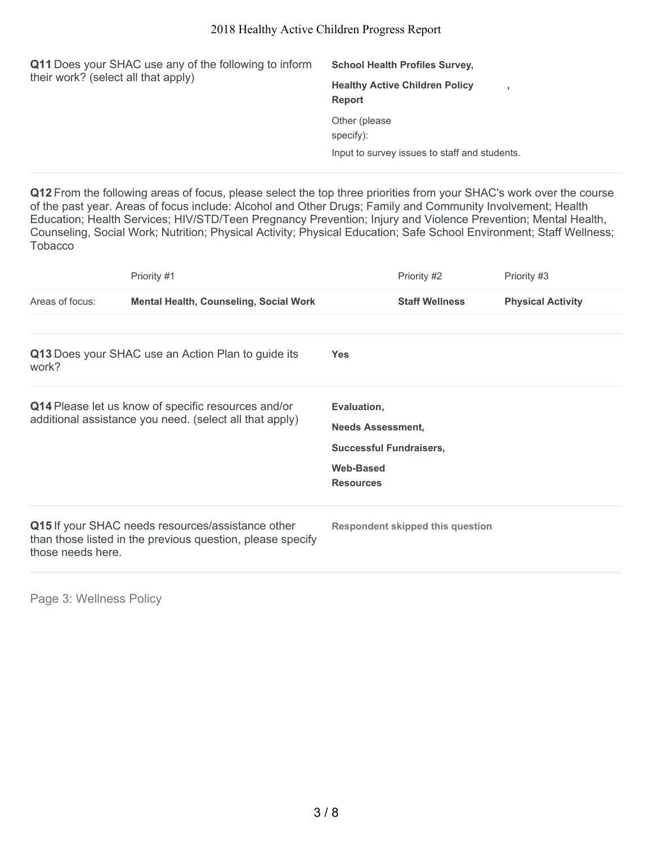| Q11 Does your SHAC use any of the following to inform<br>their work? (select all that apply) | <b>School Health Profiles Survey,</b>                  |  |
|----------------------------------------------------------------------------------------------|--------------------------------------------------------|--|
|                                                                                              | <b>Healthy Active Children Policy</b><br><b>Report</b> |  |
|                                                                                              | Other (please)<br>specify):                            |  |
|                                                                                              | Input to survey issues to staff and students.          |  |

**Q12** From the following areas of focus, please select the top three priorities from your SHAC's work over the course of the past year. Areas of focus include: Alcohol and Other Drugs; Family and Community Involvement; Health Education; Health Services; HIV/STD/Teen Pregnancy Prevention; Injury and Violence Prevention; Mental Health, Counseling, Social Work; Nutrition; Physical Activity; Physical Education; Safe School Environment; Staff Wellness; **Tobacco** 

|                   | Priority #1                                                                                                     |                                                                                                                   | Priority #2                             | Priority #3              |
|-------------------|-----------------------------------------------------------------------------------------------------------------|-------------------------------------------------------------------------------------------------------------------|-----------------------------------------|--------------------------|
| Areas of focus:   | <b>Mental Health, Counseling, Social Work</b>                                                                   |                                                                                                                   | <b>Staff Wellness</b>                   | <b>Physical Activity</b> |
| work?             | Q13 Does your SHAC use an Action Plan to guide its                                                              | <b>Yes</b>                                                                                                        |                                         |                          |
|                   | Q14 Please let us know of specific resources and/or<br>additional assistance you need. (select all that apply)  | Evaluation,<br><b>Needs Assessment,</b><br><b>Successful Fundraisers,</b><br><b>Web-Based</b><br><b>Resources</b> |                                         |                          |
| those needs here. | Q15 If your SHAC needs resources/assistance other<br>than those listed in the previous question, please specify |                                                                                                                   | <b>Respondent skipped this question</b> |                          |

Page 3: Wellness Policy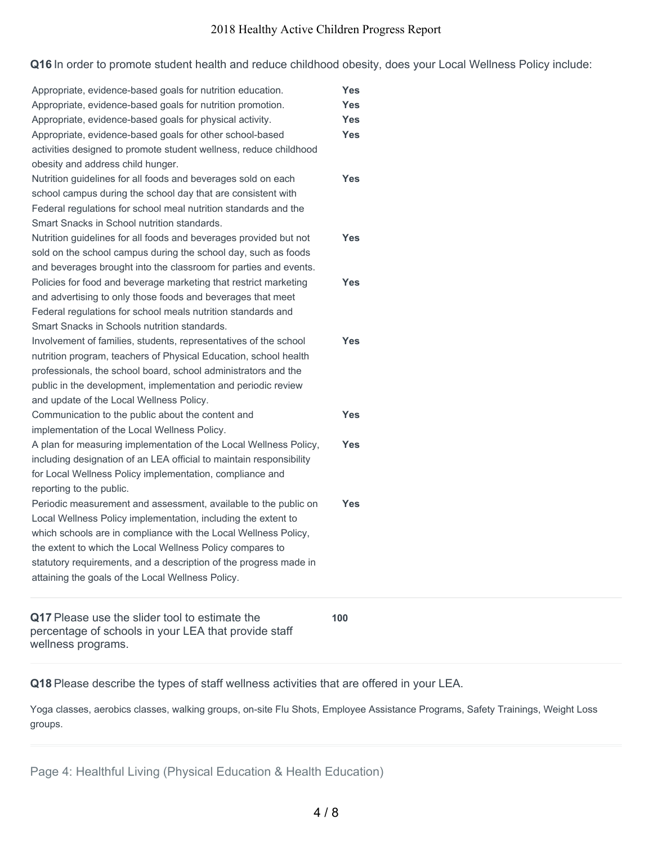**Q16** In order to promote student health and reduce childhood obesity, does your Local Wellness Policy include:

| Appropriate, evidence-based goals for nutrition education.          | <b>Yes</b> |  |
|---------------------------------------------------------------------|------------|--|
| Appropriate, evidence-based goals for nutrition promotion.          | <b>Yes</b> |  |
| Appropriate, evidence-based goals for physical activity.            | <b>Yes</b> |  |
| Appropriate, evidence-based goals for other school-based            | <b>Yes</b> |  |
| activities designed to promote student wellness, reduce childhood   |            |  |
| obesity and address child hunger.                                   |            |  |
| Nutrition guidelines for all foods and beverages sold on each       | <b>Yes</b> |  |
| school campus during the school day that are consistent with        |            |  |
| Federal regulations for school meal nutrition standards and the     |            |  |
| Smart Snacks in School nutrition standards.                         |            |  |
| Nutrition guidelines for all foods and beverages provided but not   | <b>Yes</b> |  |
| sold on the school campus during the school day, such as foods      |            |  |
| and beverages brought into the classroom for parties and events.    |            |  |
| Policies for food and beverage marketing that restrict marketing    | <b>Yes</b> |  |
| and advertising to only those foods and beverages that meet         |            |  |
| Federal regulations for school meals nutrition standards and        |            |  |
| Smart Snacks in Schools nutrition standards.                        |            |  |
| Involvement of families, students, representatives of the school    | <b>Yes</b> |  |
| nutrition program, teachers of Physical Education, school health    |            |  |
| professionals, the school board, school administrators and the      |            |  |
| public in the development, implementation and periodic review       |            |  |
| and update of the Local Wellness Policy.                            |            |  |
| Communication to the public about the content and                   | <b>Yes</b> |  |
| implementation of the Local Wellness Policy.                        |            |  |
| A plan for measuring implementation of the Local Wellness Policy,   | Yes        |  |
| including designation of an LEA official to maintain responsibility |            |  |
| for Local Wellness Policy implementation, compliance and            |            |  |
| reporting to the public.                                            |            |  |
| Periodic measurement and assessment, available to the public on     | Yes        |  |
| Local Wellness Policy implementation, including the extent to       |            |  |
| which schools are in compliance with the Local Wellness Policy,     |            |  |
| the extent to which the Local Wellness Policy compares to           |            |  |
| statutory requirements, and a description of the progress made in   |            |  |
| attaining the goals of the Local Wellness Policy.                   |            |  |
| Q17 Please use the slider tool to estimate the                      | 100        |  |
| percentage of schools in your LEA that provide staff                |            |  |

**Q18** Please describe the types of staff wellness activities that are offered in your LEA.

Yoga classes, aerobics classes, walking groups, on-site Flu Shots, Employee Assistance Programs, Safety Trainings, Weight Loss groups.

Page 4: Healthful Living (Physical Education & Health Education)

wellness programs.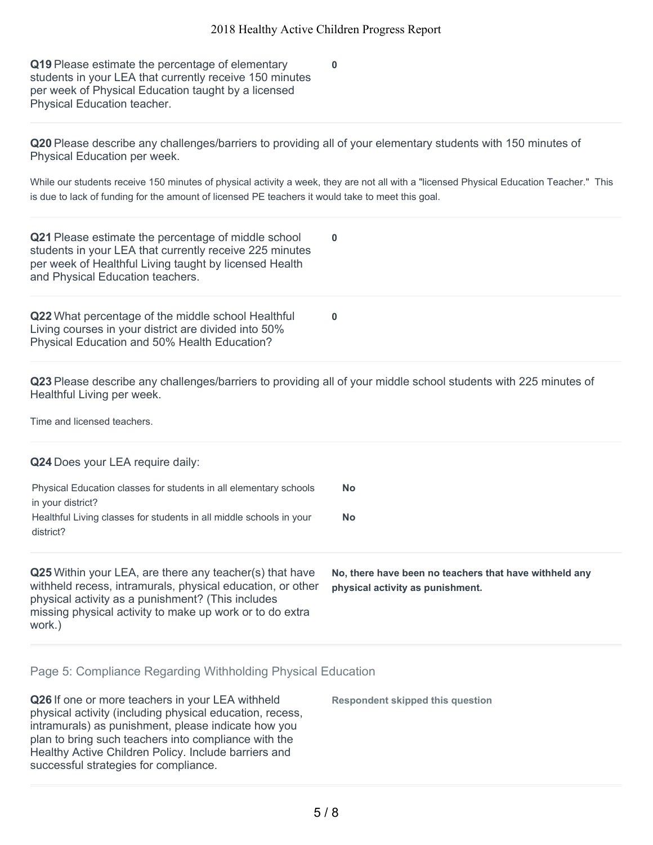**0**

**Q19** Please estimate the percentage of elementary students in your LEA that currently receive 150 minutes per week of Physical Education taught by a licensed Physical Education teacher.

**Q20** Please describe any challenges/barriers to providing all of your elementary students with 150 minutes of Physical Education per week.

While our students receive 150 minutes of physical activity a week, they are not all with a "licensed Physical Education Teacher." This is due to lack of funding for the amount of licensed PE teachers it would take to meet this goal.

| Q21 Please estimate the percentage of middle school<br>students in your LEA that currently receive 225 minutes<br>per week of Healthful Living taught by licensed Health<br>and Physical Education teachers.                                     | $\bf{0}$                                                                                   |
|--------------------------------------------------------------------------------------------------------------------------------------------------------------------------------------------------------------------------------------------------|--------------------------------------------------------------------------------------------|
| Q22 What percentage of the middle school Healthful<br>Living courses in your district are divided into 50%<br>Physical Education and 50% Health Education?                                                                                       | $\bf{0}$                                                                                   |
| Q23 Please describe any challenges/barriers to providing all of your middle school students with 225 minutes of<br>Healthful Living per week.                                                                                                    |                                                                                            |
| Time and licensed teachers.                                                                                                                                                                                                                      |                                                                                            |
| Q24 Does your LEA require daily:                                                                                                                                                                                                                 |                                                                                            |
| Physical Education classes for students in all elementary schools<br>in your district?                                                                                                                                                           | <b>No</b>                                                                                  |
| Healthful Living classes for students in all middle schools in your<br>district?                                                                                                                                                                 | <b>No</b>                                                                                  |
| Q25 Within your LEA, are there any teacher(s) that have<br>withheld recess, intramurals, physical education, or other<br>physical activity as a punishment? (This includes<br>missing physical activity to make up work or to do extra<br>work.) | No, there have been no teachers that have withheld any<br>physical activity as punishment. |

#### Page 5: Compliance Regarding Withholding Physical Education

| Q26 If one or more teachers in your LEA withheld<br>physical activity (including physical education, recess,<br>intramurals) as punishment, please indicate how you<br>plan to bring such teachers into compliance with the<br>Healthy Active Children Policy. Include barriers and<br>successful strategies for compliance. | <b>Respondent skipped this question</b> |
|------------------------------------------------------------------------------------------------------------------------------------------------------------------------------------------------------------------------------------------------------------------------------------------------------------------------------|-----------------------------------------|
|------------------------------------------------------------------------------------------------------------------------------------------------------------------------------------------------------------------------------------------------------------------------------------------------------------------------------|-----------------------------------------|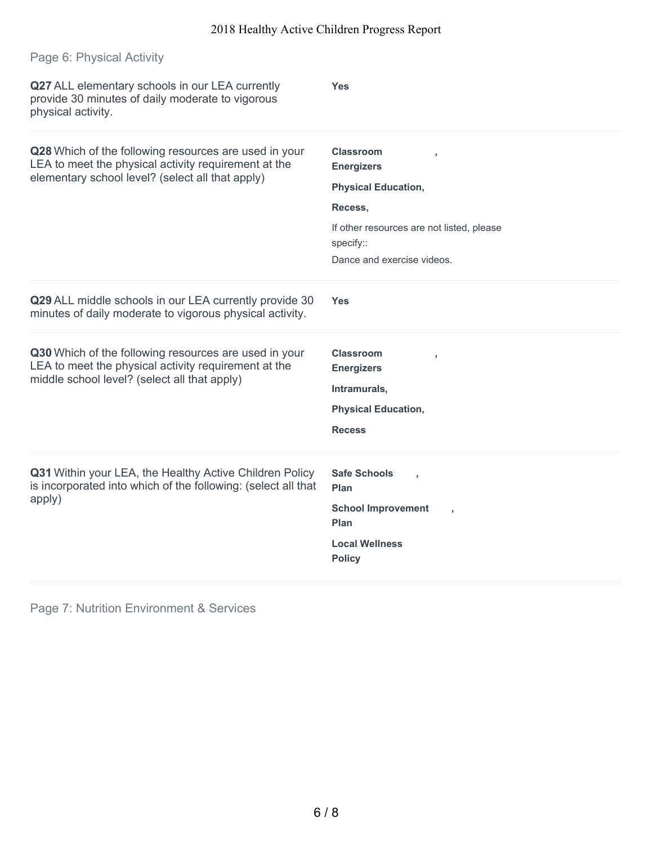| Page 6: Physical Activity                                                                                                                                         |                                                                                                                                                                        |
|-------------------------------------------------------------------------------------------------------------------------------------------------------------------|------------------------------------------------------------------------------------------------------------------------------------------------------------------------|
| Q27 ALL elementary schools in our LEA currently<br>provide 30 minutes of daily moderate to vigorous<br>physical activity.                                         | <b>Yes</b>                                                                                                                                                             |
| Q28 Which of the following resources are used in your<br>LEA to meet the physical activity requirement at the<br>elementary school level? (select all that apply) | <b>Classroom</b><br><b>Energizers</b><br><b>Physical Education,</b><br>Recess,<br>If other resources are not listed, please<br>specify::<br>Dance and exercise videos. |
| Q29 ALL middle schools in our LEA currently provide 30<br>minutes of daily moderate to vigorous physical activity.                                                | <b>Yes</b>                                                                                                                                                             |
| Q30 Which of the following resources are used in your<br>LEA to meet the physical activity requirement at the<br>middle school level? (select all that apply)     | <b>Classroom</b><br><b>Energizers</b><br>Intramurals,<br><b>Physical Education,</b><br><b>Recess</b>                                                                   |
| Q31 Within your LEA, the Healthy Active Children Policy<br>is incorporated into which of the following: (select all that<br>apply)                                | <b>Safe Schools</b><br>Plan<br><b>School Improvement</b><br>Plan<br><b>Local Wellness</b><br><b>Policy</b>                                                             |

Page 7: Nutrition Environment & Services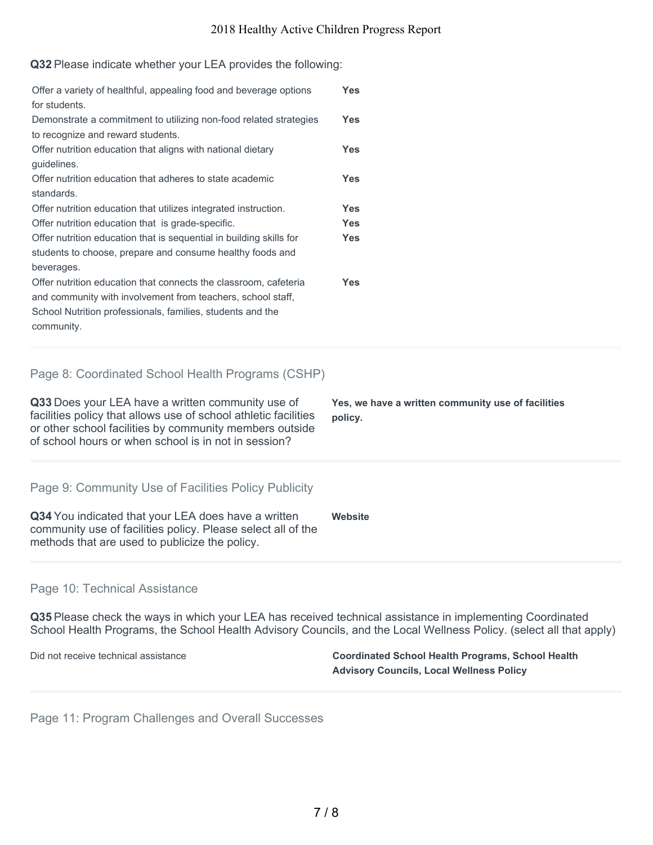#### **Q32** Please indicate whether your LEA provides the following:

| Offer a variety of healthful, appealing food and beverage options<br>for students.                                                                                                                          | <b>Yes</b> |
|-------------------------------------------------------------------------------------------------------------------------------------------------------------------------------------------------------------|------------|
| Demonstrate a commitment to utilizing non-food related strategies<br>to recognize and reward students.                                                                                                      | <b>Yes</b> |
| Offer nutrition education that aligns with national dietary<br>guidelines.                                                                                                                                  | <b>Yes</b> |
| Offer nutrition education that adheres to state academic<br>standards.                                                                                                                                      | <b>Yes</b> |
| Offer nutrition education that utilizes integrated instruction.                                                                                                                                             | <b>Yes</b> |
| Offer nutrition education that is grade-specific.                                                                                                                                                           | <b>Yes</b> |
| Offer nutrition education that is sequential in building skills for<br>students to choose, prepare and consume healthy foods and<br>beverages.                                                              | <b>Yes</b> |
| Offer nutrition education that connects the classroom, cafeteria<br>and community with involvement from teachers, school staff,<br>School Nutrition professionals, families, students and the<br>community. | <b>Yes</b> |
| Page 8: Coordinated School Health Programs (CSHP)                                                                                                                                                           |            |

**Q33** Does your LEA have a written community use of facilities policy that allows use of school athletic facilities or other school facilities by community members outside of school hours or when school is in not in session? **Yes, we have a written community use of facilities policy.**

Page 9: Community Use of Facilities Policy Publicity

**Q34** You indicated that your LEA does have a written community use of facilities policy. Please select all of the methods that are used to publicize the policy. **Website**

#### Page 10: Technical Assistance

**Q35** Please check the ways in which your LEA has received technical assistance in implementing Coordinated School Health Programs, the School Health Advisory Councils, and the Local Wellness Policy. (select all that apply)

Did not receive technical assistance **Coordinated School Health Programs, School Health Advisory Councils, Local Wellness Policy**

Page 11: Program Challenges and Overall Successes